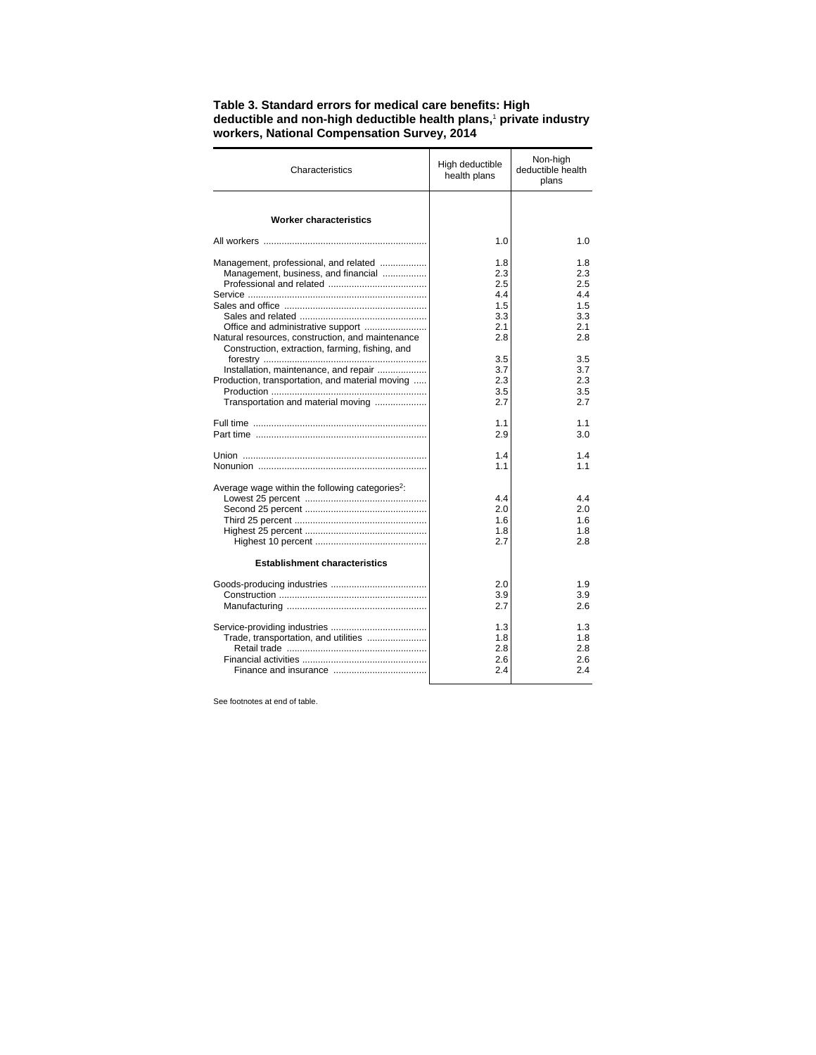| Characteristics                                                                                                                                                                     | High deductible<br>health plans                      | Non-high<br>deductible health<br>plans              |
|-------------------------------------------------------------------------------------------------------------------------------------------------------------------------------------|------------------------------------------------------|-----------------------------------------------------|
| <b>Worker characteristics</b>                                                                                                                                                       |                                                      |                                                     |
|                                                                                                                                                                                     | 1.0                                                  | 1.0                                                 |
| Management, professional, and related<br>Management, business, and financial<br>Natural resources, construction, and maintenance<br>Construction, extraction, farming, fishing, and | 1.8<br>2.3<br>2.5<br>4.4<br>1.5<br>3.3<br>2.1<br>2.8 | 1.8<br>2.3<br>2.5<br>44<br>1.5<br>3.3<br>2.1<br>2.8 |
| Installation, maintenance, and repair<br>Production, transportation, and material moving<br>Transportation and material moving                                                      | 3.5<br>3.7<br>2.3<br>3.5<br>2.7                      | 3.5<br>37<br>2.3<br>3.5<br>2.7                      |
|                                                                                                                                                                                     | 1.1<br>2.9                                           | 1.1<br>3.0                                          |
|                                                                                                                                                                                     | 1.4<br>1.1                                           | 1.4<br>1.1                                          |
| Average wage within the following categories <sup>2</sup> :                                                                                                                         | 4.4<br>2.0<br>1.6<br>1.8<br>2.7                      | 4.4<br>2.0<br>1.6<br>1.8<br>2.8                     |
| <b>Establishment characteristics</b>                                                                                                                                                |                                                      |                                                     |
|                                                                                                                                                                                     | 2.0<br>3.9<br>2.7                                    | 1.9<br>3.9<br>2.6                                   |
|                                                                                                                                                                                     | 1.3<br>1.8<br>2.8<br>2.6<br>2.4                      | 1.3<br>1.8<br>2.8<br>2.6<br>2.4                     |

**Table 3. Standard errors for medical care benefits: High deductible and non-high deductible health plans,**<sup>1</sup>  **private industry workers, National Compensation Survey, 2014**

See footnotes at end of table.